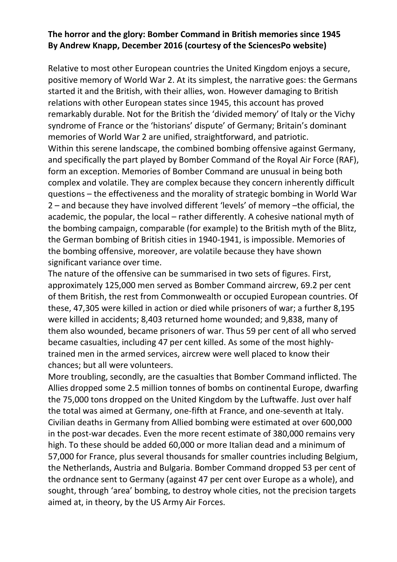# **The horror and the glory: Bomber Command in British memories since 1945 By Andrew Knapp, December 2016 (courtesy of the SciencesPo website)**

Relative to most other European countries the United Kingdom enjoys a secure, positive memory of World War 2. At its simplest, the narrative goes: the Germans started it and the British, with their allies, won. However damaging to British relations with other European states since 1945, this account has proved remarkably durable. Not for the British the 'divided memory' of Italy or the Vichy syndrome of France or the 'historians' dispute' of Germany; Britain's dominant memories of World War 2 are unified, straightforward, and patriotic. Within this serene landscape, the combined bombing offensive against Germany, and specifically the part played by Bomber Command of the Royal Air Force (RAF), form an exception. Memories of Bomber Command are unusual in being both complex and volatile. They are complex because they concern inherently difficult questions – the effectiveness and the morality of strategic bombing in World War 2 – and because they have involved different 'levels' of memory –the official, the academic, the popular, the local – rather differently. A cohesive national myth of the bombing campaign, comparable (for example) to the British myth of the Blitz, the German bombing of British cities in 1940-1941, is impossible. Memories of the bombing offensive, moreover, are volatile because they have shown significant variance over time.

The nature of the offensive can be summarised in two sets of figures. First, approximately 125,000 men served as Bomber Command aircrew, 69.2 per cent of them British, the rest from Commonwealth or occupied European countries. Of these, 47,305 were killed in action or died while prisoners of war; a further 8,195 were killed in accidents; 8,403 returned home wounded; and 9,838, many of them also wounded, became prisoners of war. Thus 59 per cent of all who served became casualties, including 47 per cent killed. As some of the most highlytrained men in the armed services, aircrew were well placed to know their chances; but all were volunteers.

More troubling, secondly, are the casualties that Bomber Command inflicted. The Allies dropped some 2.5 million tonnes of bombs on continental Europe, dwarfing the 75,000 tons dropped on the United Kingdom by the Luftwaffe. Just over half the total was aimed at Germany, one-fifth at France, and one-seventh at Italy. Civilian deaths in Germany from Allied bombing were estimated at over 600,000 in the post-war decades. Even the more recent estimate of 380,000 remains very high. To these should be added 60,000 or more Italian dead and a minimum of 57,000 for France, plus several thousands for smaller countries including Belgium, the Netherlands, Austria and Bulgaria. Bomber Command dropped 53 per cent of the ordnance sent to Germany (against 47 per cent over Europe as a whole), and sought, through 'area' bombing, to destroy whole cities, not the precision targets aimed at, in theory, by the US Army Air Forces.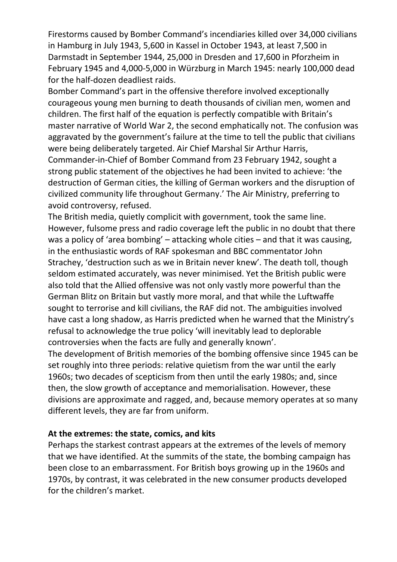Firestorms caused by Bomber Command's incendiaries killed over 34,000 civilians in Hamburg in July 1943, 5,600 in Kassel in October 1943, at least 7,500 in Darmstadt in September 1944, 25,000 in Dresden and 17,600 in Pforzheim in February 1945 and 4,000-5,000 in Würzburg in March 1945: nearly 100,000 dead for the half-dozen deadliest raids.

Bomber Command's part in the offensive therefore involved exceptionally courageous young men burning to death thousands of civilian men, women and children. The first half of the equation is perfectly compatible with Britain's master narrative of World War 2, the second emphatically not. The confusion was aggravated by the government's failure at the time to tell the public that civilians were being deliberately targeted. Air Chief Marshal Sir Arthur Harris, Commander-in-Chief of Bomber Command from 23 February 1942, sought a strong public statement of the objectives he had been invited to achieve: 'the destruction of German cities, the killing of German workers and the disruption of civilized community life throughout Germany.' The Air Ministry, preferring to avoid controversy, refused.

The British media, quietly complicit with government, took the same line. However, fulsome press and radio coverage left the public in no doubt that there was a policy of 'area bombing' – attacking whole cities – and that it was causing, in the enthusiastic words of RAF spokesman and BBC commentator John Strachey, 'destruction such as we in Britain never knew'. The death toll, though seldom estimated accurately, was never minimised. Yet the British public were also told that the Allied offensive was not only vastly more powerful than the German Blitz on Britain but vastly more moral, and that while the Luftwaffe sought to terrorise and kill civilians, the RAF did not. The ambiguities involved have cast a long shadow, as Harris predicted when he warned that the Ministry's refusal to acknowledge the true policy 'will inevitably lead to deplorable controversies when the facts are fully and generally known'.

The development of British memories of the bombing offensive since 1945 can be set roughly into three periods: relative quietism from the war until the early 1960s; two decades of scepticism from then until the early 1980s; and, since then, the slow growth of acceptance and memorialisation. However, these divisions are approximate and ragged, and, because memory operates at so many different levels, they are far from uniform.

## **At the extremes: the state, comics, and kits**

Perhaps the starkest contrast appears at the extremes of the levels of memory that we have identified. At the summits of the state, the bombing campaign has been close to an embarrassment. For British boys growing up in the 1960s and 1970s, by contrast, it was celebrated in the new consumer products developed for the children's market.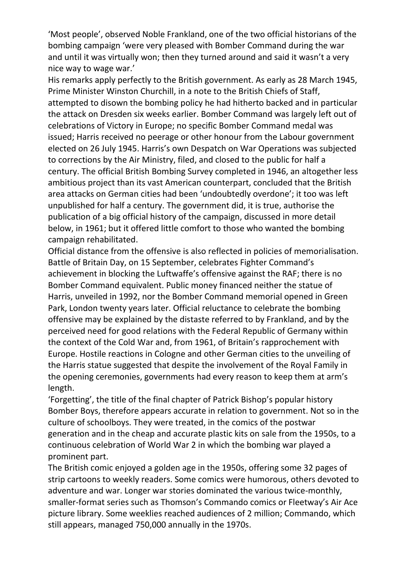'Most people', observed Noble Frankland, one of the two official historians of the bombing campaign 'were very pleased with Bomber Command during the war and until it was virtually won; then they turned around and said it wasn't a very nice way to wage war.'

His remarks apply perfectly to the British government. As early as 28 March 1945, Prime Minister Winston Churchill, in a note to the British Chiefs of Staff, attempted to disown the bombing policy he had hitherto backed and in particular the attack on Dresden six weeks earlier. Bomber Command was largely left out of celebrations of Victory in Europe; no specific Bomber Command medal was issued; Harris received no peerage or other honour from the Labour government elected on 26 July 1945. Harris's own Despatch on War Operations was subjected to corrections by the Air Ministry, filed, and closed to the public for half a century. The official British Bombing Survey completed in 1946, an altogether less ambitious project than its vast American counterpart, concluded that the British area attacks on German cities had been 'undoubtedly overdone'; it too was left unpublished for half a century. The government did, it is true, authorise the publication of a big official history of the campaign, discussed in more detail below, in 1961; but it offered little comfort to those who wanted the bombing campaign rehabilitated.

Official distance from the offensive is also reflected in policies of memorialisation. Battle of Britain Day, on 15 September, celebrates Fighter Command's achievement in blocking the Luftwaffe's offensive against the RAF; there is no Bomber Command equivalent. Public money financed neither the statue of Harris, unveiled in 1992, nor the Bomber Command memorial opened in Green Park, London twenty years later. Official reluctance to celebrate the bombing offensive may be explained by the distaste referred to by Frankland, and by the perceived need for good relations with the Federal Republic of Germany within the context of the Cold War and, from 1961, of Britain's rapprochement with Europe. Hostile reactions in Cologne and other German cities to the unveiling of the Harris statue suggested that despite the involvement of the Royal Family in the opening ceremonies, governments had every reason to keep them at arm's length.

'Forgetting', the title of the final chapter of Patrick Bishop's popular history Bomber Boys, therefore appears accurate in relation to government. Not so in the culture of schoolboys. They were treated, in the comics of the postwar generation and in the cheap and accurate plastic kits on sale from the 1950s, to a continuous celebration of World War 2 in which the bombing war played a prominent part.

The British comic enjoyed a golden age in the 1950s, offering some 32 pages of strip cartoons to weekly readers. Some comics were humorous, others devoted to adventure and war. Longer war stories dominated the various twice-monthly, smaller-format series such as Thomson's Commando comics or Fleetway's Air Ace picture library. Some weeklies reached audiences of 2 million; Commando, which still appears, managed 750,000 annually in the 1970s.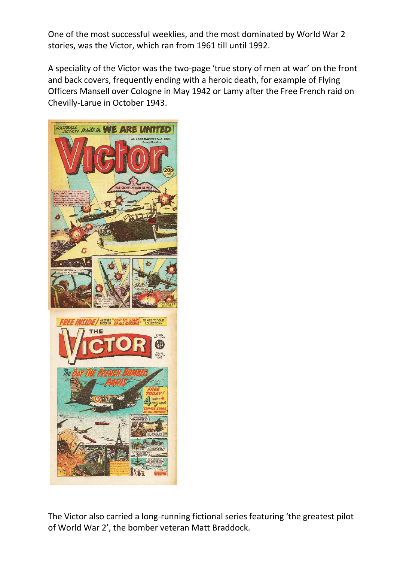One of the most successful weeklies, and the most dominated by World War 2 stories, was the Victor, which ran from 1961 till until 1992.

A speciality of the Victor was the two-page 'true story of men at war' on the front and back covers, frequently ending with a heroic death, for example of Flying Officers Mansell over Cologne in May 1942 or Lamy after the Free French raid on Chevilly-Larue in October 1943.



The Victor also carried a long-running fictional series featuring 'the greatest pilot of World War 2', the bomber veteran Matt Braddock.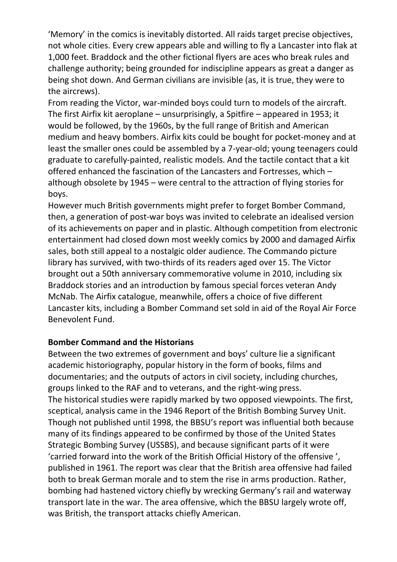'Memory' in the comics is inevitably distorted. All raids target precise objectives, not whole cities. Every crew appears able and willing to fly a Lancaster into flak at 1,000 feet. Braddock and the other fictional flyers are aces who break rules and challenge authority; being grounded for indiscipline appears as great a danger as being shot down. And German civilians are invisible (as, it is true, they were to the aircrews).

From reading the Victor, war-minded boys could turn to models of the aircraft. The first Airfix kit aeroplane – unsurprisingly, a Spitfire – appeared in 1953; it would be followed, by the 1960s, by the full range of British and American medium and heavy bombers. Airfix kits could be bought for pocket-money and at least the smaller ones could be assembled by a 7-year-old; young teenagers could graduate to carefully-painted, realistic models. And the tactile contact that a kit offered enhanced the fascination of the Lancasters and Fortresses, which – although obsolete by 1945 – were central to the attraction of flying stories for boys.

However much British governments might prefer to forget Bomber Command, then, a generation of post-war boys was invited to celebrate an idealised version of its achievements on paper and in plastic. Although competition from electronic entertainment had closed down most weekly comics by 2000 and damaged Airfix sales, both still appeal to a nostalgic older audience. The Commando picture library has survived, with two-thirds of its readers aged over 15. The Victor brought out a 50th anniversary commemorative volume in 2010, including six Braddock stories and an introduction by famous special forces veteran Andy McNab. The Airfix catalogue, meanwhile, offers a choice of five different Lancaster kits, including a Bomber Command set sold in aid of the Royal Air Force Benevolent Fund.

## **Bomber Command and the Historians**

Between the two extremes of government and boys' culture lie a significant academic historiography, popular history in the form of books, films and documentaries; and the outputs of actors in civil society, including churches, groups linked to the RAF and to veterans, and the right-wing press. The historical studies were rapidly marked by two opposed viewpoints. The first, sceptical, analysis came in the 1946 Report of the British Bombing Survey Unit. Though not published until 1998, the BBSU's report was influential both because many of its findings appeared to be confirmed by those of the United States Strategic Bombing Survey (USSBS), and because significant parts of it were 'carried forward into the work of the British Official History of the offensive ', published in 1961. The report was clear that the British area offensive had failed both to break German morale and to stem the rise in arms production. Rather, bombing had hastened victory chiefly by wrecking Germany's rail and waterway transport late in the war. The area offensive, which the BBSU largely wrote off, was British, the transport attacks chiefly American.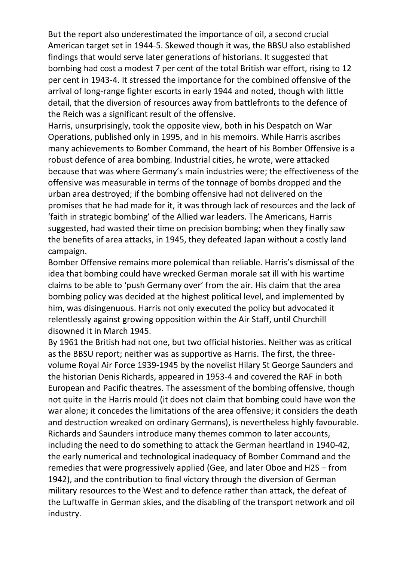But the report also underestimated the importance of oil, a second crucial American target set in 1944-5. Skewed though it was, the BBSU also established findings that would serve later generations of historians. It suggested that bombing had cost a modest 7 per cent of the total British war effort, rising to 12 per cent in 1943-4. It stressed the importance for the combined offensive of the arrival of long-range fighter escorts in early 1944 and noted, though with little detail, that the diversion of resources away from battlefronts to the defence of the Reich was a significant result of the offensive.

Harris, unsurprisingly, took the opposite view, both in his Despatch on War Operations, published only in 1995, and in his memoirs. While Harris ascribes many achievements to Bomber Command, the heart of his Bomber Offensive is a robust defence of area bombing. Industrial cities, he wrote, were attacked because that was where Germany's main industries were; the effectiveness of the offensive was measurable in terms of the tonnage of bombs dropped and the urban area destroyed; if the bombing offensive had not delivered on the promises that he had made for it, it was through lack of resources and the lack of 'faith in strategic bombing' of the Allied war leaders. The Americans, Harris suggested, had wasted their time on precision bombing; when they finally saw the benefits of area attacks, in 1945, they defeated Japan without a costly land campaign.

Bomber Offensive remains more polemical than reliable. Harris's dismissal of the idea that bombing could have wrecked German morale sat ill with his wartime claims to be able to 'push Germany over' from the air. His claim that the area bombing policy was decided at the highest political level, and implemented by him, was disingenuous. Harris not only executed the policy but advocated it relentlessly against growing opposition within the Air Staff, until Churchill disowned it in March 1945.

By 1961 the British had not one, but two official histories. Neither was as critical as the BBSU report; neither was as supportive as Harris. The first, the threevolume Royal Air Force 1939-1945 by the novelist Hilary St George Saunders and the historian Denis Richards, appeared in 1953-4 and covered the RAF in both European and Pacific theatres. The assessment of the bombing offensive, though not quite in the Harris mould (it does not claim that bombing could have won the war alone; it concedes the limitations of the area offensive; it considers the death and destruction wreaked on ordinary Germans), is nevertheless highly favourable. Richards and Saunders introduce many themes common to later accounts, including the need to do something to attack the German heartland in 1940-42, the early numerical and technological inadequacy of Bomber Command and the remedies that were progressively applied (Gee, and later Oboe and H2S – from 1942), and the contribution to final victory through the diversion of German military resources to the West and to defence rather than attack, the defeat of the Luftwaffe in German skies, and the disabling of the transport network and oil industry.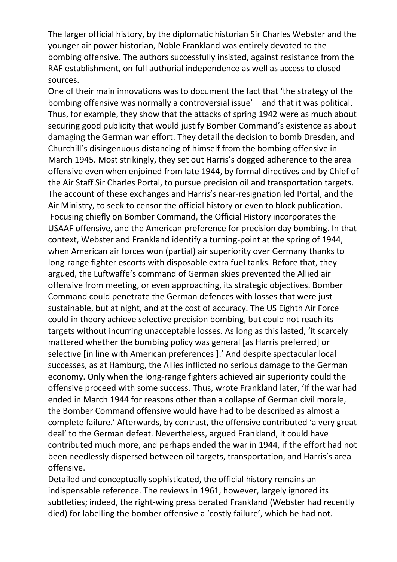The larger official history, by the diplomatic historian Sir Charles Webster and the younger air power historian, Noble Frankland was entirely devoted to the bombing offensive. The authors successfully insisted, against resistance from the RAF establishment, on full authorial independence as well as access to closed sources.

One of their main innovations was to document the fact that 'the strategy of the bombing offensive was normally a controversial issue' – and that it was political. Thus, for example, they show that the attacks of spring 1942 were as much about securing good publicity that would justify Bomber Command's existence as about damaging the German war effort. They detail the decision to bomb Dresden, and Churchill's disingenuous distancing of himself from the bombing offensive in March 1945. Most strikingly, they set out Harris's dogged adherence to the area offensive even when enjoined from late 1944, by formal directives and by Chief of the Air Staff Sir Charles Portal, to pursue precision oil and transportation targets. The account of these exchanges and Harris's near-resignation led Portal, and the Air Ministry, to seek to censor the official history or even to block publication. Focusing chiefly on Bomber Command, the Official History incorporates the USAAF offensive, and the American preference for precision day bombing. In that context, Webster and Frankland identify a turning-point at the spring of 1944, when American air forces won (partial) air superiority over Germany thanks to long-range fighter escorts with disposable extra fuel tanks. Before that, they argued, the Luftwaffe's command of German skies prevented the Allied air offensive from meeting, or even approaching, its strategic objectives. Bomber Command could penetrate the German defences with losses that were just sustainable, but at night, and at the cost of accuracy. The US Eighth Air Force could in theory achieve selective precision bombing, but could not reach its targets without incurring unacceptable losses. As long as this lasted, 'it scarcely mattered whether the bombing policy was general [as Harris preferred] or selective [in line with American preferences ].' And despite spectacular local successes, as at Hamburg, the Allies inflicted no serious damage to the German economy. Only when the long-range fighters achieved air superiority could the offensive proceed with some success. Thus, wrote Frankland later, 'If the war had ended in March 1944 for reasons other than a collapse of German civil morale, the Bomber Command offensive would have had to be described as almost a complete failure.' Afterwards, by contrast, the offensive contributed 'a very great deal' to the German defeat. Nevertheless, argued Frankland, it could have contributed much more, and perhaps ended the war in 1944, if the effort had not been needlessly dispersed between oil targets, transportation, and Harris's area offensive.

Detailed and conceptually sophisticated, the official history remains an indispensable reference. The reviews in 1961, however, largely ignored its subtleties; indeed, the right-wing press berated Frankland (Webster had recently died) for labelling the bomber offensive a 'costly failure', which he had not.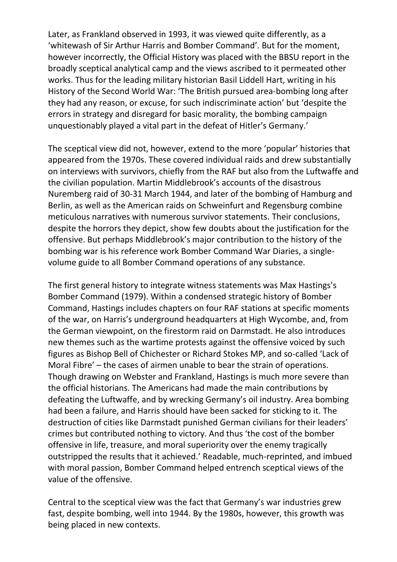Later, as Frankland observed in 1993, it was viewed quite differently, as a 'whitewash of Sir Arthur Harris and Bomber Command'. But for the moment, however incorrectly, the Official History was placed with the BBSU report in the broadly sceptical analytical camp and the views ascribed to it permeated other works. Thus for the leading military historian Basil Liddell Hart, writing in his History of the Second World War: 'The British pursued area-bombing long after they had any reason, or excuse, for such indiscriminate action' but 'despite the errors in strategy and disregard for basic morality, the bombing campaign unquestionably played a vital part in the defeat of Hitler's Germany.'

The sceptical view did not, however, extend to the more 'popular' histories that appeared from the 1970s. These covered individual raids and drew substantially on interviews with survivors, chiefly from the RAF but also from the Luftwaffe and the civilian population. Martin Middlebrook's accounts of the disastrous Nuremberg raid of 30-31 March 1944, and later of the bombing of Hamburg and Berlin, as well as the American raids on Schweinfurt and Regensburg combine meticulous narratives with numerous survivor statements. Their conclusions, despite the horrors they depict, show few doubts about the justification for the offensive. But perhaps Middlebrook's major contribution to the history of the bombing war is his reference work Bomber Command War Diaries, a singlevolume guide to all Bomber Command operations of any substance.

The first general history to integrate witness statements was Max Hastings's Bomber Command (1979). Within a condensed strategic history of Bomber Command, Hastings includes chapters on four RAF stations at specific moments of the war, on Harris's underground headquarters at High Wycombe, and, from the German viewpoint, on the firestorm raid on Darmstadt. He also introduces new themes such as the wartime protests against the offensive voiced by such figures as Bishop Bell of Chichester or Richard Stokes MP, and so-called 'Lack of Moral Fibre' – the cases of airmen unable to bear the strain of operations. Though drawing on Webster and Frankland, Hastings is much more severe than the official historians. The Americans had made the main contributions by defeating the Luftwaffe, and by wrecking Germany's oil industry. Area bombing had been a failure, and Harris should have been sacked for sticking to it. The destruction of cities like Darmstadt punished German civilians for their leaders' crimes but contributed nothing to victory. And thus 'the cost of the bomber offensive in life, treasure, and moral superiority over the enemy tragically outstripped the results that it achieved.' Readable, much-reprinted, and imbued with moral passion, Bomber Command helped entrench sceptical views of the value of the offensive.

Central to the sceptical view was the fact that Germany's war industries grew fast, despite bombing, well into 1944. By the 1980s, however, this growth was being placed in new contexts.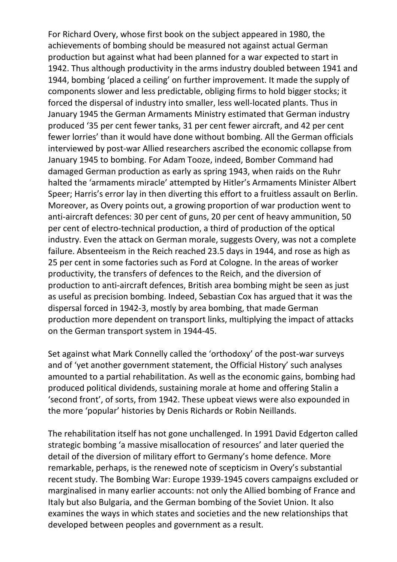For Richard Overy, whose first book on the subject appeared in 1980, the achievements of bombing should be measured not against actual German production but against what had been planned for a war expected to start in 1942. Thus although productivity in the arms industry doubled between 1941 and 1944, bombing 'placed a ceiling' on further improvement. It made the supply of components slower and less predictable, obliging firms to hold bigger stocks; it forced the dispersal of industry into smaller, less well-located plants. Thus in January 1945 the German Armaments Ministry estimated that German industry produced '35 per cent fewer tanks, 31 per cent fewer aircraft, and 42 per cent fewer lorries' than it would have done without bombing. All the German officials interviewed by post-war Allied researchers ascribed the economic collapse from January 1945 to bombing. For Adam Tooze, indeed, Bomber Command had damaged German production as early as spring 1943, when raids on the Ruhr halted the 'armaments miracle' attempted by Hitler's Armaments Minister Albert Speer; Harris's error lay in then diverting this effort to a fruitless assault on Berlin. Moreover, as Overy points out, a growing proportion of war production went to anti-aircraft defences: 30 per cent of guns, 20 per cent of heavy ammunition, 50 per cent of electro-technical production, a third of production of the optical industry. Even the attack on German morale, suggests Overy, was not a complete failure. Absenteeism in the Reich reached 23.5 days in 1944, and rose as high as 25 per cent in some factories such as Ford at Cologne. In the areas of worker productivity, the transfers of defences to the Reich, and the diversion of production to anti-aircraft defences, British area bombing might be seen as just as useful as precision bombing. Indeed, Sebastian Cox has argued that it was the dispersal forced in 1942-3, mostly by area bombing, that made German production more dependent on transport links, multiplying the impact of attacks on the German transport system in 1944-45.

Set against what Mark Connelly called the 'orthodoxy' of the post-war surveys and of 'yet another government statement, the Official History' such analyses amounted to a partial rehabilitation. As well as the economic gains, bombing had produced political dividends, sustaining morale at home and offering Stalin a 'second front', of sorts, from 1942. These upbeat views were also expounded in the more 'popular' histories by Denis Richards or Robin Neillands.

The rehabilitation itself has not gone unchallenged. In 1991 David Edgerton called strategic bombing 'a massive misallocation of resources' and later queried the detail of the diversion of military effort to Germany's home defence. More remarkable, perhaps, is the renewed note of scepticism in Overy's substantial recent study. The Bombing War: Europe 1939-1945 covers campaigns excluded or marginalised in many earlier accounts: not only the Allied bombing of France and Italy but also Bulgaria, and the German bombing of the Soviet Union. It also examines the ways in which states and societies and the new relationships that developed between peoples and government as a result.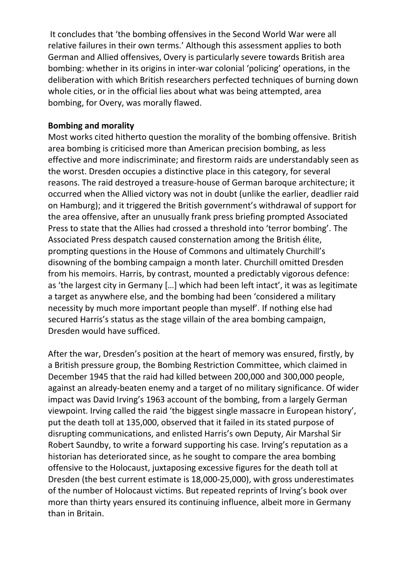It concludes that 'the bombing offensives in the Second World War were all relative failures in their own terms.' Although this assessment applies to both German and Allied offensives, Overy is particularly severe towards British area bombing: whether in its origins in inter-war colonial 'policing' operations, in the deliberation with which British researchers perfected techniques of burning down whole cities, or in the official lies about what was being attempted, area bombing, for Overy, was morally flawed.

### **Bombing and morality**

Most works cited hitherto question the morality of the bombing offensive. British area bombing is criticised more than American precision bombing, as less effective and more indiscriminate; and firestorm raids are understandably seen as the worst. Dresden occupies a distinctive place in this category, for several reasons. The raid destroyed a treasure-house of German baroque architecture; it occurred when the Allied victory was not in doubt (unlike the earlier, deadlier raid on Hamburg); and it triggered the British government's withdrawal of support for the area offensive, after an unusually frank press briefing prompted Associated Press to state that the Allies had crossed a threshold into 'terror bombing'. The Associated Press despatch caused consternation among the British élite, prompting questions in the House of Commons and ultimately Churchill's disowning of the bombing campaign a month later. Churchill omitted Dresden from his memoirs. Harris, by contrast, mounted a predictably vigorous defence: as 'the largest city in Germany […] which had been left intact', it was as legitimate a target as anywhere else, and the bombing had been 'considered a military necessity by much more important people than myself'. If nothing else had secured Harris's status as the stage villain of the area bombing campaign, Dresden would have sufficed.

After the war, Dresden's position at the heart of memory was ensured, firstly, by a British pressure group, the Bombing Restriction Committee, which claimed in December 1945 that the raid had killed between 200,000 and 300,000 people, against an already-beaten enemy and a target of no military significance. Of wider impact was David Irving's 1963 account of the bombing, from a largely German viewpoint. Irving called the raid 'the biggest single massacre in European history', put the death toll at 135,000, observed that it failed in its stated purpose of disrupting communications, and enlisted Harris's own Deputy, Air Marshal Sir Robert Saundby, to write a forward supporting his case. Irving's reputation as a historian has deteriorated since, as he sought to compare the area bombing offensive to the Holocaust, juxtaposing excessive figures for the death toll at Dresden (the best current estimate is 18,000-25,000), with gross underestimates of the number of Holocaust victims. But repeated reprints of Irving's book over more than thirty years ensured its continuing influence, albeit more in Germany than in Britain.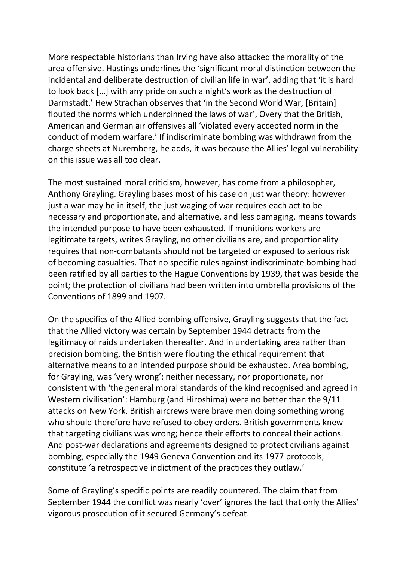More respectable historians than Irving have also attacked the morality of the area offensive. Hastings underlines the 'significant moral distinction between the incidental and deliberate destruction of civilian life in war', adding that 'it is hard to look back […] with any pride on such a night's work as the destruction of Darmstadt.' Hew Strachan observes that 'in the Second World War, [Britain] flouted the norms which underpinned the laws of war', Overy that the British, American and German air offensives all 'violated every accepted norm in the conduct of modern warfare.' If indiscriminate bombing was withdrawn from the charge sheets at Nuremberg, he adds, it was because the Allies' legal vulnerability on this issue was all too clear.

The most sustained moral criticism, however, has come from a philosopher, Anthony Grayling. Grayling bases most of his case on just war theory: however just a war may be in itself, the just waging of war requires each act to be necessary and proportionate, and alternative, and less damaging, means towards the intended purpose to have been exhausted. If munitions workers are legitimate targets, writes Grayling, no other civilians are, and proportionality requires that non-combatants should not be targeted or exposed to serious risk of becoming casualties. That no specific rules against indiscriminate bombing had been ratified by all parties to the Hague Conventions by 1939, that was beside the point; the protection of civilians had been written into umbrella provisions of the Conventions of 1899 and 1907.

On the specifics of the Allied bombing offensive, Grayling suggests that the fact that the Allied victory was certain by September 1944 detracts from the legitimacy of raids undertaken thereafter. And in undertaking area rather than precision bombing, the British were flouting the ethical requirement that alternative means to an intended purpose should be exhausted. Area bombing, for Grayling, was 'very wrong': neither necessary, nor proportionate, nor consistent with 'the general moral standards of the kind recognised and agreed in Western civilisation': Hamburg (and Hiroshima) were no better than the 9/11 attacks on New York. British aircrews were brave men doing something wrong who should therefore have refused to obey orders. British governments knew that targeting civilians was wrong; hence their efforts to conceal their actions. And post-war declarations and agreements designed to protect civilians against bombing, especially the 1949 Geneva Convention and its 1977 protocols, constitute 'a retrospective indictment of the practices they outlaw.'

Some of Grayling's specific points are readily countered. The claim that from September 1944 the conflict was nearly 'over' ignores the fact that only the Allies' vigorous prosecution of it secured Germany's defeat.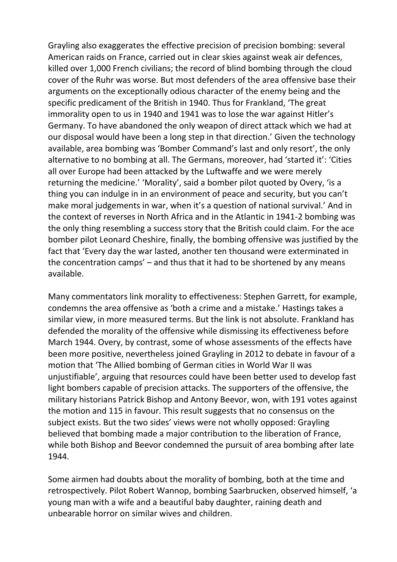Grayling also exaggerates the effective precision of precision bombing: several American raids on France, carried out in clear skies against weak air defences, killed over 1,000 French civilians; the record of blind bombing through the cloud cover of the Ruhr was worse. But most defenders of the area offensive base their arguments on the exceptionally odious character of the enemy being and the specific predicament of the British in 1940. Thus for Frankland, 'The great immorality open to us in 1940 and 1941 was to lose the war against Hitler's Germany. To have abandoned the only weapon of direct attack which we had at our disposal would have been a long step in that direction.' Given the technology available, area bombing was 'Bomber Command's last and only resort', the only alternative to no bombing at all. The Germans, moreover, had 'started it': 'Cities all over Europe had been attacked by the Luftwaffe and we were merely returning the medicine.' 'Morality', said a bomber pilot quoted by Overy, 'is a thing you can indulge in in an environment of peace and security, but you can't make moral judgements in war, when it's a question of national survival.' And in the context of reverses in North Africa and in the Atlantic in 1941-2 bombing was the only thing resembling a success story that the British could claim. For the ace bomber pilot Leonard Cheshire, finally, the bombing offensive was justified by the fact that 'Every day the war lasted, another ten thousand were exterminated in the concentration camps' – and thus that it had to be shortened by any means available.

Many commentators link morality to effectiveness: Stephen Garrett, for example, condemns the area offensive as 'both a crime and a mistake.' Hastings takes a similar view, in more measured terms. But the link is not absolute. Frankland has defended the morality of the offensive while dismissing its effectiveness before March 1944. Overy, by contrast, some of whose assessments of the effects have been more positive, nevertheless joined Grayling in 2012 to debate in favour of a motion that 'The Allied bombing of German cities in World War II was unjustifiable', arguing that resources could have been better used to develop fast light bombers capable of precision attacks. The supporters of the offensive, the military historians Patrick Bishop and Antony Beevor, won, with 191 votes against the motion and 115 in favour. This result suggests that no consensus on the subject exists. But the two sides' views were not wholly opposed: Grayling believed that bombing made a major contribution to the liberation of France, while both Bishop and Beevor condemned the pursuit of area bombing after late 1944.

Some airmen had doubts about the morality of bombing, both at the time and retrospectively. Pilot Robert Wannop, bombing Saarbrucken, observed himself, 'a young man with a wife and a beautiful baby daughter, raining death and unbearable horror on similar wives and children.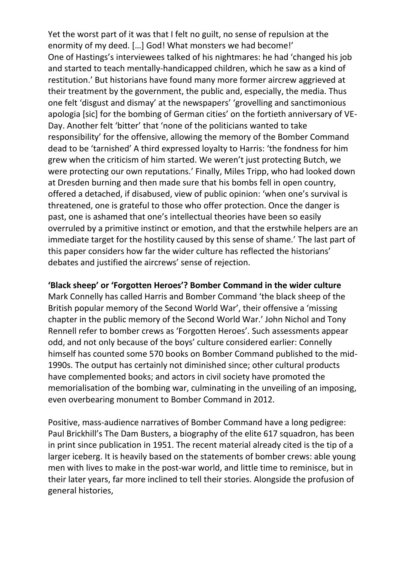Yet the worst part of it was that I felt no guilt, no sense of repulsion at the enormity of my deed. […] God! What monsters we had become!' One of Hastings's interviewees talked of his nightmares: he had 'changed his job and started to teach mentally-handicapped children, which he saw as a kind of restitution.' But historians have found many more former aircrew aggrieved at their treatment by the government, the public and, especially, the media. Thus one felt 'disgust and dismay' at the newspapers' 'grovelling and sanctimonious apologia [sic] for the bombing of German cities' on the fortieth anniversary of VE-Day. Another felt 'bitter' that 'none of the politicians wanted to take responsibility' for the offensive, allowing the memory of the Bomber Command dead to be 'tarnished' A third expressed loyalty to Harris: 'the fondness for him grew when the criticism of him started. We weren't just protecting Butch, we were protecting our own reputations.' Finally, Miles Tripp, who had looked down at Dresden burning and then made sure that his bombs fell in open country, offered a detached, if disabused, view of public opinion: 'when one's survival is threatened, one is grateful to those who offer protection. Once the danger is past, one is ashamed that one's intellectual theories have been so easily overruled by a primitive instinct or emotion, and that the erstwhile helpers are an immediate target for the hostility caused by this sense of shame.' The last part of this paper considers how far the wider culture has reflected the historians' debates and justified the aircrews' sense of rejection.

## **'Black sheep' or 'Forgotten Heroes'? Bomber Command in the wider culture**

Mark Connelly has called Harris and Bomber Command 'the black sheep of the British popular memory of the Second World War', their offensive a 'missing chapter in the public memory of the Second World War.' John Nichol and Tony Rennell refer to bomber crews as 'Forgotten Heroes'. Such assessments appear odd, and not only because of the boys' culture considered earlier: Connelly himself has counted some 570 books on Bomber Command published to the mid-1990s. The output has certainly not diminished since; other cultural products have complemented books; and actors in civil society have promoted the memorialisation of the bombing war, culminating in the unveiling of an imposing, even overbearing monument to Bomber Command in 2012.

Positive, mass-audience narratives of Bomber Command have a long pedigree: Paul Brickhill's The Dam Busters, a biography of the elite 617 squadron, has been in print since publication in 1951. The recent material already cited is the tip of a larger iceberg. It is heavily based on the statements of bomber crews: able young men with lives to make in the post-war world, and little time to reminisce, but in their later years, far more inclined to tell their stories. Alongside the profusion of general histories,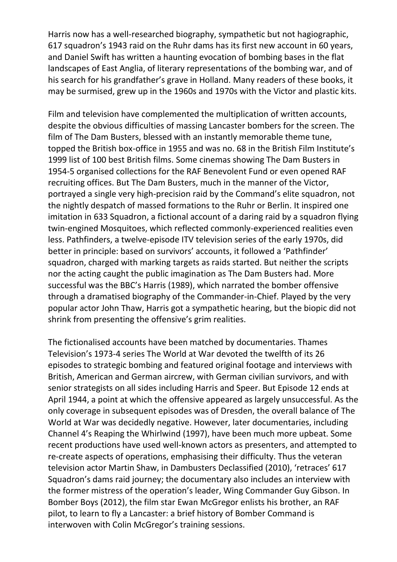Harris now has a well-researched biography, sympathetic but not hagiographic, 617 squadron's 1943 raid on the Ruhr dams has its first new account in 60 years, and Daniel Swift has written a haunting evocation of bombing bases in the flat landscapes of East Anglia, of literary representations of the bombing war, and of his search for his grandfather's grave in Holland. Many readers of these books, it may be surmised, grew up in the 1960s and 1970s with the Victor and plastic kits.

Film and television have complemented the multiplication of written accounts, despite the obvious difficulties of massing Lancaster bombers for the screen. The film of The Dam Busters, blessed with an instantly memorable theme tune, topped the British box-office in 1955 and was no. 68 in the British Film Institute's 1999 list of 100 best British films. Some cinemas showing The Dam Busters in 1954-5 organised collections for the RAF Benevolent Fund or even opened RAF recruiting offices. But The Dam Busters, much in the manner of the Victor, portrayed a single very high-precision raid by the Command's elite squadron, not the nightly despatch of massed formations to the Ruhr or Berlin. It inspired one imitation in 633 Squadron, a fictional account of a daring raid by a squadron flying twin-engined Mosquitoes, which reflected commonly-experienced realities even less. Pathfinders, a twelve-episode ITV television series of the early 1970s, did better in principle: based on survivors' accounts, it followed a 'Pathfinder' squadron, charged with marking targets as raids started. But neither the scripts nor the acting caught the public imagination as The Dam Busters had. More successful was the BBC's Harris (1989), which narrated the bomber offensive through a dramatised biography of the Commander-in-Chief. Played by the very popular actor John Thaw, Harris got a sympathetic hearing, but the biopic did not shrink from presenting the offensive's grim realities.

The fictionalised accounts have been matched by documentaries. Thames Television's 1973-4 series The World at War devoted the twelfth of its 26 episodes to strategic bombing and featured original footage and interviews with British, American and German aircrew, with German civilian survivors, and with senior strategists on all sides including Harris and Speer. But Episode 12 ends at April 1944, a point at which the offensive appeared as largely unsuccessful. As the only coverage in subsequent episodes was of Dresden, the overall balance of The World at War was decidedly negative. However, later documentaries, including Channel 4's Reaping the Whirlwind (1997), have been much more upbeat. Some recent productions have used well-known actors as presenters, and attempted to re-create aspects of operations, emphasising their difficulty. Thus the veteran television actor Martin Shaw, in Dambusters Declassified (2010), 'retraces' 617 Squadron's dams raid journey; the documentary also includes an interview with the former mistress of the operation's leader, Wing Commander Guy Gibson. In Bomber Boys (2012), the film star Ewan McGregor enlists his brother, an RAF pilot, to learn to fly a Lancaster: a brief history of Bomber Command is interwoven with Colin McGregor's training sessions.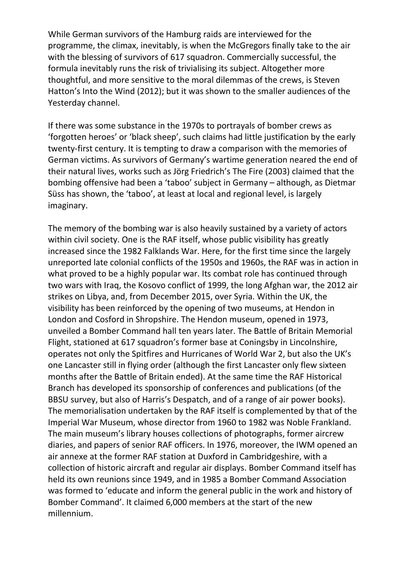While German survivors of the Hamburg raids are interviewed for the programme, the climax, inevitably, is when the McGregors finally take to the air with the blessing of survivors of 617 squadron. Commercially successful, the formula inevitably runs the risk of trivialising its subject. Altogether more thoughtful, and more sensitive to the moral dilemmas of the crews, is Steven Hatton's Into the Wind (2012); but it was shown to the smaller audiences of the Yesterday channel.

If there was some substance in the 1970s to portrayals of bomber crews as 'forgotten heroes' or 'black sheep', such claims had little justification by the early twenty-first century. It is tempting to draw a comparison with the memories of German victims. As survivors of Germany's wartime generation neared the end of their natural lives, works such as Jörg Friedrich's The Fire (2003) claimed that the bombing offensive had been a 'taboo' subject in Germany – although, as Dietmar Süss has shown, the 'taboo', at least at local and regional level, is largely imaginary.

The memory of the bombing war is also heavily sustained by a variety of actors within civil society. One is the RAF itself, whose public visibility has greatly increased since the 1982 Falklands War. Here, for the first time since the largely unreported late colonial conflicts of the 1950s and 1960s, the RAF was in action in what proved to be a highly popular war. Its combat role has continued through two wars with Iraq, the Kosovo conflict of 1999, the long Afghan war, the 2012 air strikes on Libya, and, from December 2015, over Syria. Within the UK, the visibility has been reinforced by the opening of two museums, at Hendon in London and Cosford in Shropshire. The Hendon museum, opened in 1973, unveiled a Bomber Command hall ten years later. The Battle of Britain Memorial Flight, stationed at 617 squadron's former base at Coningsby in Lincolnshire, operates not only the Spitfires and Hurricanes of World War 2, but also the UK's one Lancaster still in flying order (although the first Lancaster only flew sixteen months after the Battle of Britain ended). At the same time the RAF Historical Branch has developed its sponsorship of conferences and publications (of the BBSU survey, but also of Harris's Despatch, and of a range of air power books). The memorialisation undertaken by the RAF itself is complemented by that of the Imperial War Museum, whose director from 1960 to 1982 was Noble Frankland. The main museum's library houses collections of photographs, former aircrew diaries, and papers of senior RAF officers. In 1976, moreover, the IWM opened an air annexe at the former RAF station at Duxford in Cambridgeshire, with a collection of historic aircraft and regular air displays. Bomber Command itself has held its own reunions since 1949, and in 1985 a Bomber Command Association was formed to 'educate and inform the general public in the work and history of Bomber Command'. It claimed 6,000 members at the start of the new millennium.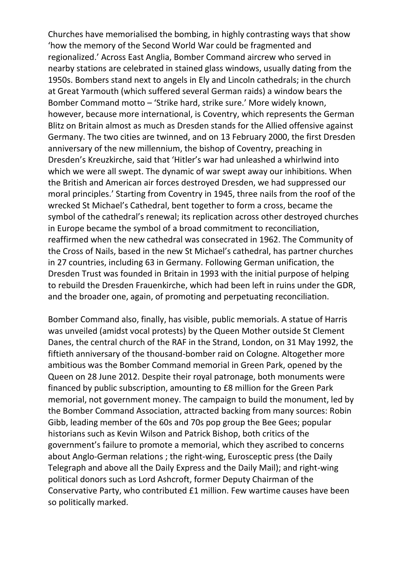Churches have memorialised the bombing, in highly contrasting ways that show 'how the memory of the Second World War could be fragmented and regionalized.' Across East Anglia, Bomber Command aircrew who served in nearby stations are celebrated in stained glass windows, usually dating from the 1950s. Bombers stand next to angels in Ely and Lincoln cathedrals; in the church at Great Yarmouth (which suffered several German raids) a window bears the Bomber Command motto – 'Strike hard, strike sure.' More widely known, however, because more international, is Coventry, which represents the German Blitz on Britain almost as much as Dresden stands for the Allied offensive against Germany. The two cities are twinned, and on 13 February 2000, the first Dresden anniversary of the new millennium, the bishop of Coventry, preaching in Dresden's Kreuzkirche, said that 'Hitler's war had unleashed a whirlwind into which we were all swept. The dynamic of war swept away our inhibitions. When the British and American air forces destroyed Dresden, we had suppressed our moral principles.' Starting from Coventry in 1945, three nails from the roof of the wrecked St Michael's Cathedral, bent together to form a cross, became the symbol of the cathedral's renewal; its replication across other destroyed churches in Europe became the symbol of a broad commitment to reconciliation, reaffirmed when the new cathedral was consecrated in 1962. The Community of the Cross of Nails, based in the new St Michael's cathedral, has partner churches in 27 countries, including 63 in Germany. Following German unification, the Dresden Trust was founded in Britain in 1993 with the initial purpose of helping to rebuild the Dresden Frauenkirche, which had been left in ruins under the GDR, and the broader one, again, of promoting and perpetuating reconciliation.

Bomber Command also, finally, has visible, public memorials. A statue of Harris was unveiled (amidst vocal protests) by the Queen Mother outside St Clement Danes, the central church of the RAF in the Strand, London, on 31 May 1992, the fiftieth anniversary of the thousand-bomber raid on Cologne. Altogether more ambitious was the Bomber Command memorial in Green Park, opened by the Queen on 28 June 2012. Despite their royal patronage, both monuments were financed by public subscription, amounting to £8 million for the Green Park memorial, not government money. The campaign to build the monument, led by the Bomber Command Association, attracted backing from many sources: Robin Gibb, leading member of the 60s and 70s pop group the Bee Gees; popular historians such as Kevin Wilson and Patrick Bishop, both critics of the government's failure to promote a memorial, which they ascribed to concerns about Anglo-German relations ; the right-wing, Eurosceptic press (the Daily Telegraph and above all the Daily Express and the Daily Mail); and right-wing political donors such as Lord Ashcroft, former Deputy Chairman of the Conservative Party, who contributed £1 million. Few wartime causes have been so politically marked.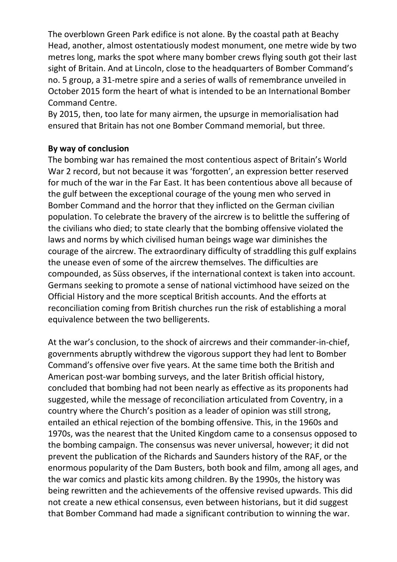The overblown Green Park edifice is not alone. By the coastal path at Beachy Head, another, almost ostentatiously modest monument, one metre wide by two metres long, marks the spot where many bomber crews flying south got their last sight of Britain. And at Lincoln, close to the headquarters of Bomber Command's no. 5 group, a 31-metre spire and a series of walls of remembrance unveiled in October 2015 form the heart of what is intended to be an International Bomber Command Centre.

By 2015, then, too late for many airmen, the upsurge in memorialisation had ensured that Britain has not one Bomber Command memorial, but three.

## **By way of conclusion**

The bombing war has remained the most contentious aspect of Britain's World War 2 record, but not because it was 'forgotten', an expression better reserved for much of the war in the Far East. It has been contentious above all because of the gulf between the exceptional courage of the young men who served in Bomber Command and the horror that they inflicted on the German civilian population. To celebrate the bravery of the aircrew is to belittle the suffering of the civilians who died; to state clearly that the bombing offensive violated the laws and norms by which civilised human beings wage war diminishes the courage of the aircrew. The extraordinary difficulty of straddling this gulf explains the unease even of some of the aircrew themselves. The difficulties are compounded, as Süss observes, if the international context is taken into account. Germans seeking to promote a sense of national victimhood have seized on the Official History and the more sceptical British accounts. And the efforts at reconciliation coming from British churches run the risk of establishing a moral equivalence between the two belligerents.

At the war's conclusion, to the shock of aircrews and their commander-in-chief, governments abruptly withdrew the vigorous support they had lent to Bomber Command's offensive over five years. At the same time both the British and American post-war bombing surveys, and the later British official history, concluded that bombing had not been nearly as effective as its proponents had suggested, while the message of reconciliation articulated from Coventry, in a country where the Church's position as a leader of opinion was still strong, entailed an ethical rejection of the bombing offensive. This, in the 1960s and 1970s, was the nearest that the United Kingdom came to a consensus opposed to the bombing campaign. The consensus was never universal, however; it did not prevent the publication of the Richards and Saunders history of the RAF, or the enormous popularity of the Dam Busters, both book and film, among all ages, and the war comics and plastic kits among children. By the 1990s, the history was being rewritten and the achievements of the offensive revised upwards. This did not create a new ethical consensus, even between historians, but it did suggest that Bomber Command had made a significant contribution to winning the war.